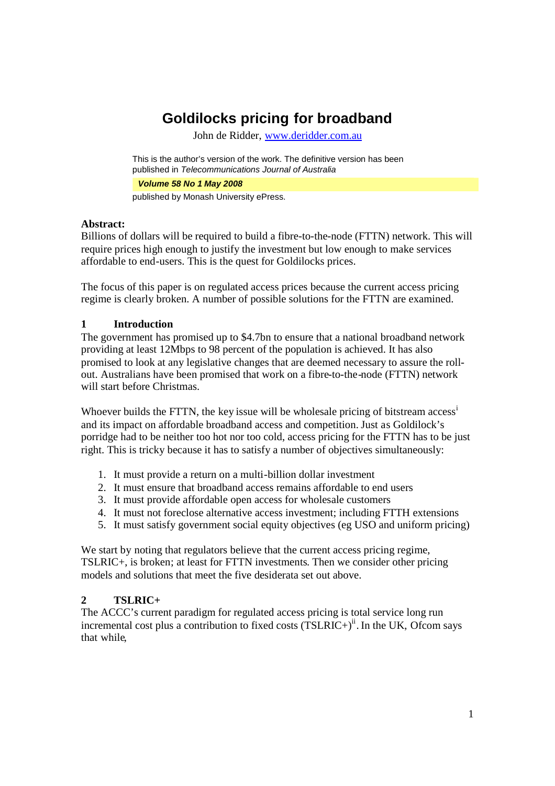# **Goldilocks pricing for broadband**

John de Ridder, www.deridder.com.au

This is the author's version of the work. The definitive version has been published in *Telecommunications Journal of Australia*

*Volume 58 No 1 May 2008*

published by Monash University ePress.

#### **Abstract:**

Billions of dollars will be required to build a fibre-to-the-node (FTTN) network. This will require prices high enough to justify the investment but low enough to make services affordable to end-users. This is the quest for Goldilocks prices.

The focus of this paper is on regulated access prices because the current access pricing regime is clearly broken. A number of possible solutions for the FTTN are examined.

## **1 Introduction**

The government has promised up to \$4.7bn to ensure that a national broadband network providing at least 12Mbps to 98 percent of the population is achieved. It has also promised to look at any legislative changes that are deemed necessary to assure the rollout. Australians have been promised that work on a fibre-to-the-node (FTTN) network will start before Christmas.

Whoever builds the FTTN, the key issue will be wholesale pricing of bitstream access<sup>i</sup> and its impact on affordable broadband access and competition. Just as Goldilock's porridge had to be neither too hot nor too cold, access pricing for the FTTN has to be just right. This is tricky because it has to satisfy a number of objectives simultaneously:

- 1. It must provide a return on a multi-billion dollar investment
- 2. It must ensure that broadband access remains affordable to end users
- 3. It must provide affordable open access for wholesale customers
- 4. It must not foreclose alternative access investment; including FTTH extensions
- 5. It must satisfy government social equity objectives (eg USO and uniform pricing)

We start by noting that regulators believe that the current access pricing regime, TSLRIC+, is broken; at least for FTTN investments. Then we consider other pricing models and solutions that meet the five desiderata set out above.

## **2 TSLRIC+**

The ACCC's current paradigm for regulated access pricing is total service long run incremental cost plus a contribution to fixed costs  $(TSLRIC+)$ <sup>ii</sup>. In the UK, Ofcom says that while,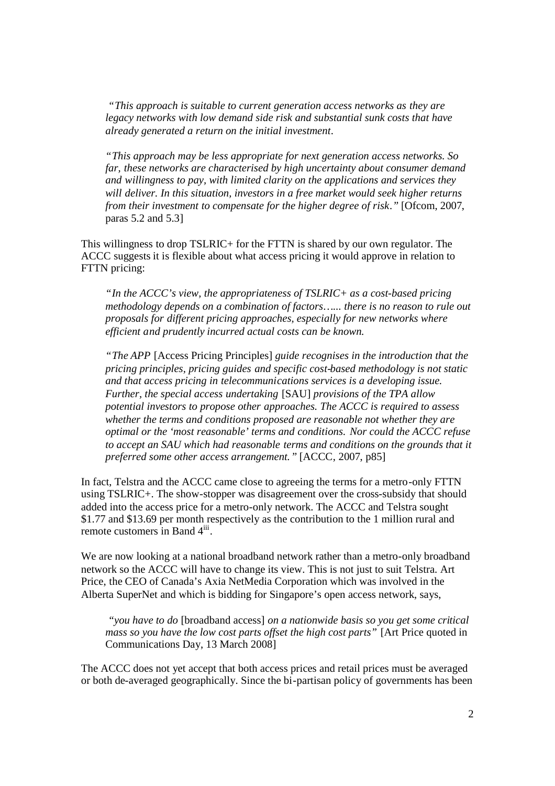*"This approach is suitable to current generation access networks as they are legacy networks with low demand side risk and substantial sunk costs that have already generated a return on the initial investment.*

*"This approach may be less appropriate for next generation access networks. So far, these networks are characterised by high uncertainty about consumer demand and willingness to pay, with limited clarity on the applications and services they will deliver. In this situation, investors in a free market would seek higher returns from their investment to compensate for the higher degree of risk."* [Ofcom, 2007, paras 5.2 and 5.3]

This willingness to drop TSLRIC+ for the FTTN is shared by our own regulator. The ACCC suggests it is flexible about what access pricing it would approve in relation to FTTN pricing:

*"In the ACCC's view, the appropriateness of TSLRIC+ as a cost-based pricing methodology depends on a combination of factors…... there is no reason to rule out proposals for different pricing approaches, especially for new networks where efficient and prudently incurred actual costs can be known.*

*"The APP* [Access Pricing Principles] *guide recognises in the introduction that the pricing principles, pricing guides and specific cost-based methodology is not static and that access pricing in telecommunications services is a developing issue. Further, the special access undertaking* [SAU] *provisions of the TPA allow potential investors to propose other approaches. The ACCC is required to assess whether the terms and conditions proposed are reasonable not whether they are optimal or the 'most reasonable' terms and conditions. Nor could the ACCC refuse to accept an SAU which had reasonable terms and conditions on the grounds that it preferred some other access arrangement."* [ACCC, 2007, p85]

In fact, Telstra and the ACCC came close to agreeing the terms for a metro-only FTTN using TSLRIC+. The show-stopper was disagreement over the cross-subsidy that should added into the access price for a metro-only network. The ACCC and Telstra sought \$1.77 and \$13.69 per month respectively as the contribution to the 1 million rural and remote customers in Band 4<sup>iii</sup>.

We are now looking at a national broadband network rather than a metro-only broadband network so the ACCC will have to change its view. This is not just to suit Telstra. Art Price, the CEO of Canada's Axia NetMedia Corporation which was involved in the Alberta SuperNet and which is bidding for Singapore's open access network, says,

*"you have to do* [broadband access] *on a nationwide basis so you get some critical mass so you have the low cost parts offset the high cost parts"* [Art Price quoted in Communications Day, 13 March 2008]

The ACCC does not yet accept that both access prices and retail prices must be averaged or both de-averaged geographically. Since the bi-partisan policy of governments has been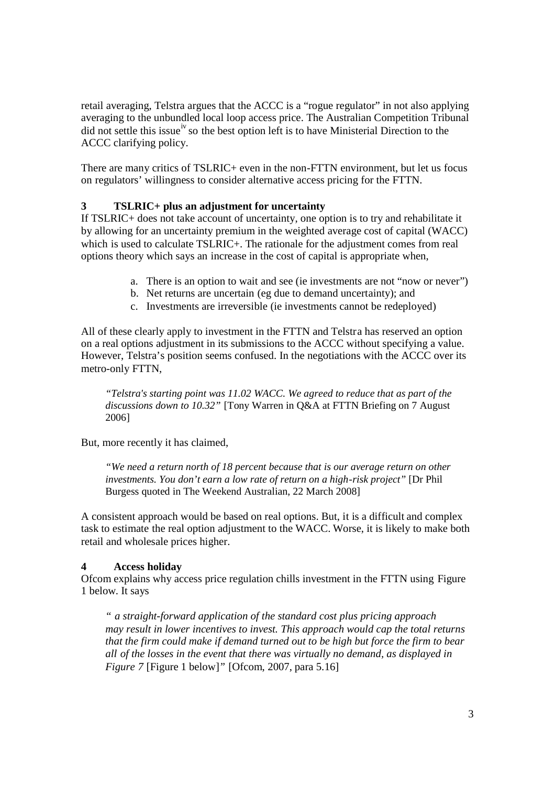retail averaging, Telstra argues that the ACCC is a "rogue regulator" in not also applying averaging to the unbundled local loop access price. The Australian Competition Tribunal did not settle this issue<sup>iv</sup> so the best option left is to have Ministerial Direction to the ACCC clarifying policy.

There are many critics of TSLRIC+ even in the non-FTTN environment, but let us focus on regulators' willingness to consider alternative access pricing for the FTTN.

# **3 TSLRIC+ plus an adjustment for uncertainty**

If TSLRIC+ does not take account of uncertainty, one option is to try and rehabilitate it by allowing for an uncertainty premium in the weighted average cost of capital (WACC) which is used to calculate TSLRIC+. The rationale for the adjustment comes from real options theory which says an increase in the cost of capital is appropriate when,

- a. There is an option to wait and see (ie investments are not "now or never")
- b. Net returns are uncertain (eg due to demand uncertainty); and
- c. Investments are irreversible (ie investments cannot be redeployed)

All of these clearly apply to investment in the FTTN and Telstra has reserved an option on a real options adjustment in its submissions to the ACCC without specifying a value. However, Telstra's position seems confused. In the negotiations with the ACCC over its metro-only FTTN,

*"Telstra's starting point was 11.02 WACC. We agreed to reduce that as part of the discussions down to 10.32"* [Tony Warren in Q&A at FTTN Briefing on 7 August 2006]

But, more recently it has claimed,

*"We need a return north of 18 percent because that is our average return on other investments. You don't earn a low rate of return on a high-risk project"* [Dr Phil Burgess quoted in The Weekend Australian, 22 March 2008]

A consistent approach would be based on real options. But, it is a difficult and complex task to estimate the real option adjustment to the WACC. Worse, it is likely to make both retail and wholesale prices higher.

## **4 Access holiday**

Ofcom explains why access price regulation chills investment in the FTTN using Figure 1 below. It says

*" a straight-forward application of the standard cost plus pricing approach may result in lower incentives to invest. This approach would cap the total returns that the firm could make if demand turned out to be high but force the firm to bear all of the losses in the event that there was virtually no demand, as displayed in Figure 7* [Figure 1 below]*"* [Ofcom, 2007, para 5.16]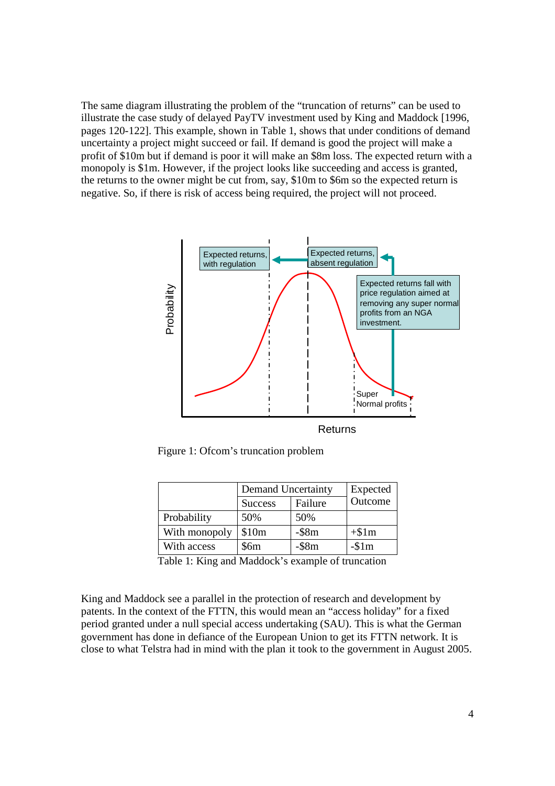The same diagram illustrating the problem of the "truncation of returns" can be used to illustrate the case study of delayed PayTV investment used by King and Maddock [1996, pages 120-122]. This example, shown in Table 1, shows that under conditions of demand uncertainty a project might succeed or fail. If demand is good the project will make a profit of \$10m but if demand is poor it will make an \$8m loss. The expected return with a monopoly is \$1m. However, if the project looks like succeeding and access is granted, the returns to the owner might be cut from, say, \$10m to \$6m so the expected return is negative. So, if there is risk of access being required, the project will not proceed.



Figure 1: Ofcom's truncation problem

|               | Demand Uncertainty |             | Expected |
|---------------|--------------------|-------------|----------|
|               | <b>Success</b>     | Failure     | Outcome  |
| Probability   | 50%                | 50%         |          |
| With monopoly | \$10m              | $-$ \$8m    | $+ $1m$  |
| With access   | \$6m               | $-$ \$8 $m$ | $-1$     |

Table 1: King and Maddock's example of truncation

King and Maddock see a parallel in the protection of research and development by patents. In the context of the FTTN, this would mean an "access holiday" for a fixed period granted under a null special access undertaking (SAU). This is what the German government has done in defiance of the European Union to get its FTTN network. It is close to what Telstra had in mind with the plan it took to the government in August 2005.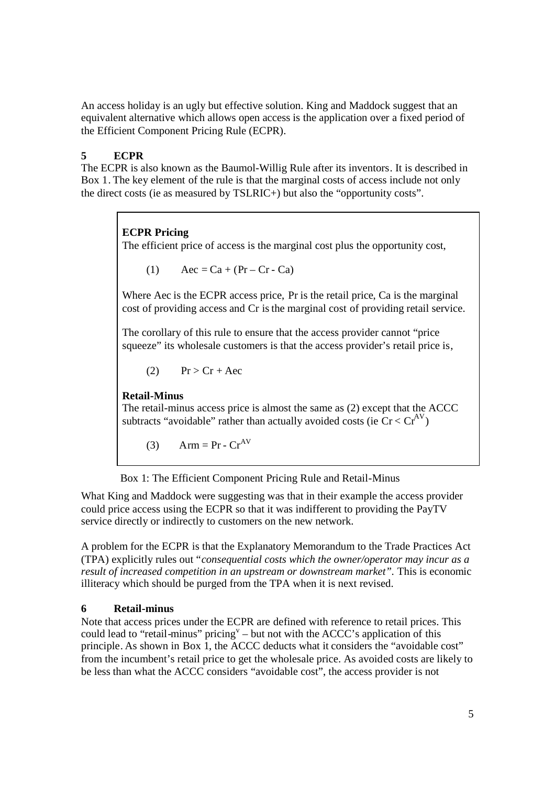An access holiday is an ugly but effective solution. King and Maddock suggest that an equivalent alternative which allows open access is the application over a fixed period of the Efficient Component Pricing Rule (ECPR).

# **5 ECPR**

The ECPR is also known as the Baumol-Willig Rule after its inventors. It is described in Box 1. The key element of the rule is that the marginal costs of access include not only the direct costs (ie as measured by TSLRIC+) but also the "opportunity costs".

# **ECPR Pricing**

The efficient price of access is the marginal cost plus the opportunity cost,

$$
(1) \qquad \text{Acc} = \text{Ca} + (\text{Pr} - \text{Cr} - \text{Ca})
$$

Where Aec is the ECPR access price, Pr is the retail price, Ca is the marginal cost of providing access and Cr isthe marginal cost of providing retail service.

The corollary of this rule to ensure that the access provider cannot "price squeeze" its wholesale customers is that the access provider's retail price is,

$$
(2) \qquad Pr > Cr + Acc
$$

**Retail-Minus**

The retail-minus access price is almost the same as (2) except that the ACCC subtracts "avoidable" rather than actually avoided costs (ie  $Cr < Cr^{AV}$ )

$$
(3) \qquad \text{Arm} = \text{Pr} \cdot \text{Cr}^{\text{AV}}
$$

Box 1: The Efficient Component Pricing Rule and Retail-Minus

What King and Maddock were suggesting was that in their example the access provider could price access using the ECPR so that it was indifferent to providing the PayTV service directly or indirectly to customers on the new network.

A problem for the ECPR is that the Explanatory Memorandum to the Trade Practices Act (TPA) explicitly rules out "*consequential costs which the owner/operator may incur as a result of increased competition in an upstream or downstream market".* This is economic illiteracy which should be purged from the TPA when it is next revised.

## **6 Retail-minus**

Note that access prices under the ECPR are defined with reference to retail prices. This could lead to "retail-minus" pricing  $v - b$ ut not with the ACCC's application of this principle. As shown in Box 1, the ACCC deducts what it considers the "avoidable cost" from the incumbent's retail price to get the wholesale price. As avoided costs are likely to be less than what the ACCC considers "avoidable cost", the access provider is not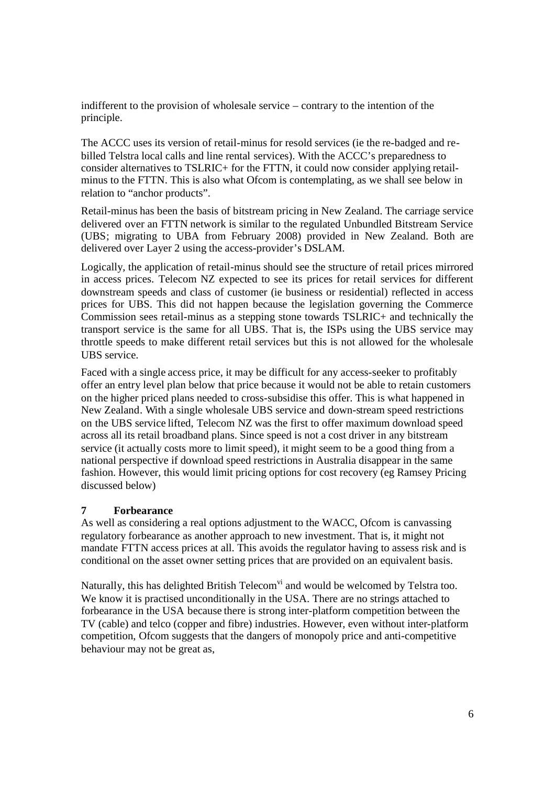indifferent to the provision of wholesale service – contrary to the intention of the principle.

The ACCC uses its version of retail-minus for resold services (ie the re-badged and rebilled Telstra local calls and line rental services). With the ACCC's preparedness to consider alternatives to TSLRIC+ for the FTTN, it could now consider applying retailminus to the FTTN. This is also what Ofcom is contemplating, as we shall see below in relation to "anchor products".

Retail-minus has been the basis of bitstream pricing in New Zealand. The carriage service delivered over an FTTN network is similar to the regulated Unbundled Bitstream Service (UBS; migrating to UBA from February 2008) provided in New Zealand. Both are delivered over Layer 2 using the access-provider's DSLAM.

Logically, the application of retail-minus should see the structure of retail prices mirrored in access prices. Telecom NZ expected to see its prices for retail services for different downstream speeds and class of customer (ie business or residential) reflected in access prices for UBS. This did not happen because the legislation governing the Commerce Commission sees retail-minus as a stepping stone towards TSLRIC+ and technically the transport service is the same for all UBS. That is, the ISPs using the UBS service may throttle speeds to make different retail services but this is not allowed for the wholesale UBS service.

Faced with a single access price, it may be difficult for any access-seeker to profitably offer an entry level plan below that price because it would not be able to retain customers on the higher priced plans needed to cross-subsidise this offer. This is what happened in New Zealand. With a single wholesale UBS service and down-stream speed restrictions on the UBS service lifted, Telecom NZ was the first to offer maximum download speed across all its retail broadband plans. Since speed is not a cost driver in any bitstream service (it actually costs more to limit speed), it might seem to be a good thing from a national perspective if download speed restrictions in Australia disappear in the same fashion. However, this would limit pricing options for cost recovery (eg Ramsey Pricing discussed below)

## **7 Forbearance**

As well as considering a real options adjustment to the WACC, Ofcom is canvassing regulatory forbearance as another approach to new investment. That is, it might not mandate FTTN access prices at all. This avoids the regulator having to assess risk and is conditional on the asset owner setting prices that are provided on an equivalent basis.

Naturally, this has delighted British Telecom<sup>vi</sup> and would be welcomed by Telstra too. We know it is practised unconditionally in the USA. There are no strings attached to forbearance in the USA because there is strong inter-platform competition between the TV (cable) and telco (copper and fibre) industries. However, even without inter-platform competition, Ofcom suggests that the dangers of monopoly price and anti-competitive behaviour may not be great as,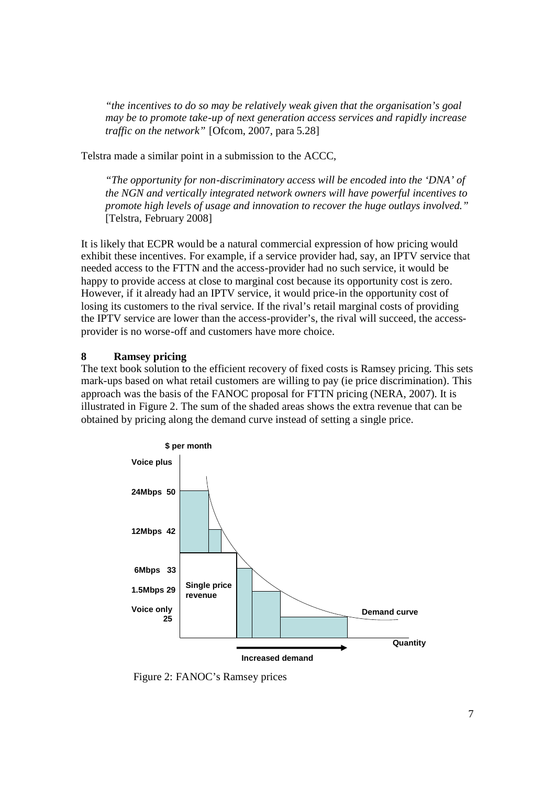*"the incentives to do so may be relatively weak given that the organisation's goal may be to promote take-up of next generation access services and rapidly increase traffic on the network"* [Ofcom, 2007, para 5.28]

Telstra made a similar point in a submission to the ACCC,

*"The opportunity for non-discriminatory access will be encoded into the 'DNA' of the NGN and vertically integrated network owners will have powerful incentives to promote high levels of usage and innovation to recover the huge outlays involved."* [Telstra, February 2008]

It is likely that ECPR would be a natural commercial expression of how pricing would exhibit these incentives. For example, if a service provider had, say, an IPTV service that needed access to the FTTN and the access-provider had no such service, it would be happy to provide access at close to marginal cost because its opportunity cost is zero. However, if it already had an IPTV service, it would price-in the opportunity cost of losing its customers to the rival service. If the rival's retail marginal costs of providing the IPTV service are lower than the access-provider's, the rival will succeed, the accessprovider is no worse-off and customers have more choice.

#### **8 Ramsey pricing**

The text book solution to the efficient recovery of fixed costs is Ramsey pricing. This sets mark-ups based on what retail customers are willing to pay (ie price discrimination). This approach was the basis of the FANOC proposal for FTTN pricing (NERA, 2007). It is illustrated in Figure 2. The sum of the shaded areas shows the extra revenue that can be obtained by pricing along the demand curve instead of setting a single price.



Figure 2: FANOC's Ramsey prices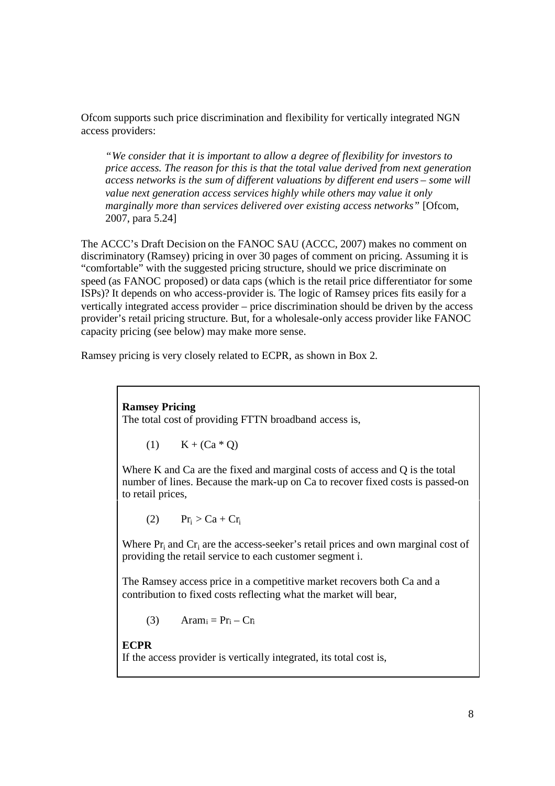Ofcom supports such price discrimination and flexibility for vertically integrated NGN access providers:

*"We consider that it is important to allow a degree of flexibility for investors to price access. The reason for this is that the total value derived from next generation access networks is the sum of different valuations by different end users – some will value next generation access services highly while others may value it only marginally more than services delivered over existing access networks"* [Ofcom, 2007, para 5.24]

The ACCC's Draft Decision on the FANOC SAU (ACCC, 2007) makes no comment on discriminatory (Ramsey) pricing in over 30 pages of comment on pricing. Assuming it is "comfortable" with the suggested pricing structure, should we price discriminate on speed (as FANOC proposed) or data caps (which is the retail price differentiator for some ISPs)? It depends on who access-provider is. The logic of Ramsey prices fits easily for a vertically integrated access provider – price discrimination should be driven by the access provider's retail pricing structure. But, for a wholesale-only access provider like FANOC capacity pricing (see below) may make more sense.

Ramsey pricing is very closely related to ECPR, as shown in Box 2.

**Ramsey Pricing** The total cost of providing FTTN broadband access is,

$$
(1) \qquad K + (Ca * Q)
$$

Where K and Ca are the fixed and marginal costs of access and Q is the total number of lines. Because the mark-up on Ca to recover fixed costs is passed-on to retail prices,

$$
(2) \qquad Pr_i > Ca + Cr_i
$$

Where  $Pr_i$  and  $Cr_i$  are the access-seeker's retail prices and own marginal cost of providing the retail service to each customer segment i.

The Ramsey access price in a competitive market recovers both Ca and a contribution to fixed costs reflecting what the market will bear,

$$
(3) \qquad Aram_i = Pr_i - Cr_i
$$

**ECPR** If the access provider is vertically integrated, its total cost is,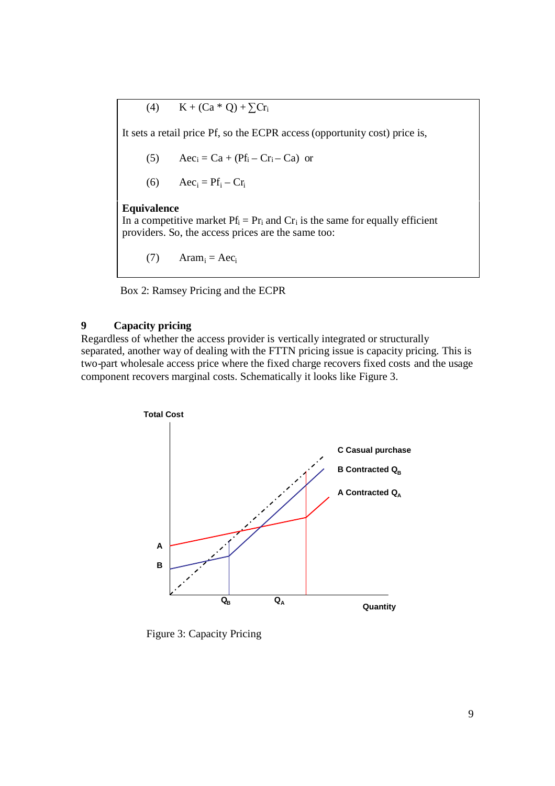$$
(4) \qquad K + (Ca * Q) + \sum Cr_i
$$

It sets a retail price Pf, so the ECPR access (opportunity cost) price is,

(5) 
$$
Aec_i = Ca + (Pf_i - Cr_i - Ca)
$$

$$
(6) \qquad Acc_i = Pf_i - Cr_i
$$

#### **Equivalence**

In a competitive market  $Pf_i = Pr_i$  and  $Cr_i$  is the same for equally efficient providers. So, the access prices are the same too:

(7)  $\text{Aram}_i = \text{Acc}_i$ 

Box 2: Ramsey Pricing and the ECPR

# **9 Capacity pricing**

Regardless of whether the access provider is vertically integrated or structurally separated, another way of dealing with the FTTN pricing issue is capacity pricing. This is two-part wholesale access price where the fixed charge recovers fixed costs and the usage component recovers marginal costs. Schematically it looks like Figure 3.



Figure 3: Capacity Pricing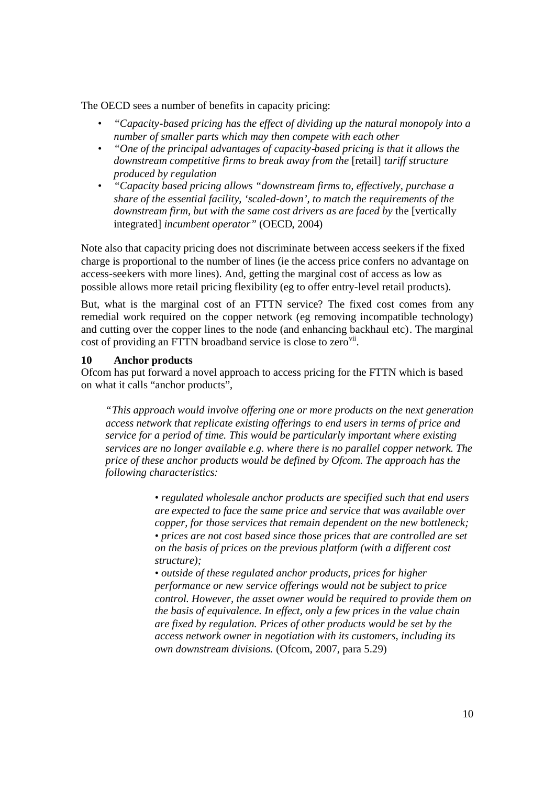The OECD sees a number of benefits in capacity pricing:

- *"Capacity-based pricing has the effect of dividing up the natural monopoly into a number of smaller parts which may then compete with each other*
- *"One of the principal advantages of capacity-based pricing is that it allows the downstream competitive firms to break away from the* [retail] *tariff structure produced by regulation*
- *"Capacity based pricing allows "downstream firms to, effectively, purchase a share of the essential facility, 'scaled-down', to match the requirements of the downstream firm, but with the same cost drivers as are faced by* the [vertically integrated] *incumbent operator"* (OECD, 2004)

Note also that capacity pricing does not discriminate between access seekersif the fixed charge is proportional to the number of lines (ie the access price confers no advantage on access-seekers with more lines). And, getting the marginal cost of access as low as possible allows more retail pricing flexibility (eg to offer entry-level retail products).

But, what is the marginal cost of an FTTN service? The fixed cost comes from any remedial work required on the copper network (eg removing incompatible technology) and cutting over the copper lines to the node (and enhancing backhaul etc). The marginal cost of providing an FTTN broadband service is close to zero<sup>vii</sup>.

#### **10 Anchor products**

Ofcom has put forward a novel approach to access pricing for the FTTN which is based on what it calls "anchor products",

*"This approach would involve offering one or more products on the next generation access network that replicate existing offerings to end users in terms of price and service for a period of time. This would be particularly important where existing services are no longer available e.g. where there is no parallel copper network. The price of these anchor products would be defined by Ofcom. The approach has the following characteristics:*

> *• regulated wholesale anchor products are specified such that end users are expected to face the same price and service that was available over copper, for those services that remain dependent on the new bottleneck; • prices are not cost based since those prices that are controlled are set on the basis of prices on the previous platform (with a different cost structure);*

> *• outside of these regulated anchor products, prices for higher performance or new service offerings would not be subject to price control. However, the asset owner would be required to provide them on the basis of equivalence. In effect, only a few prices in the value chain are fixed by regulation. Prices of other products would be set by the access network owner in negotiation with its customers, including its own downstream divisions.* (Ofcom, 2007, para 5.29)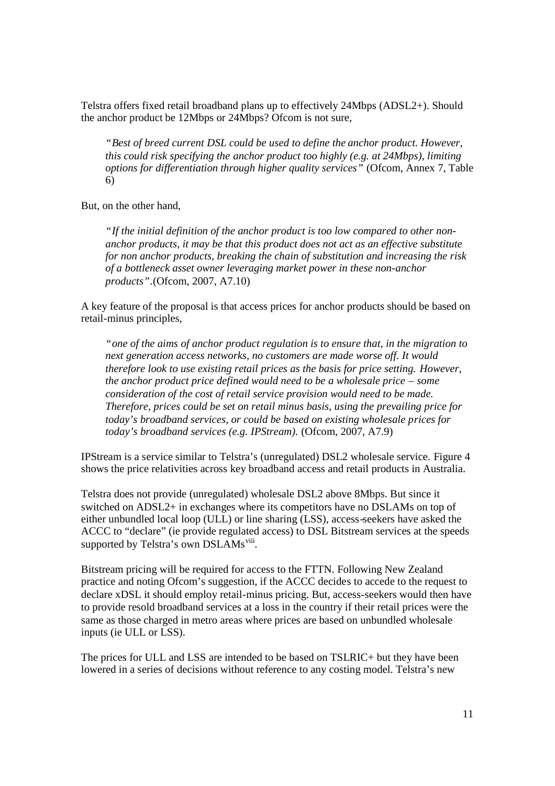Telstra offers fixed retail broadband plans up to effectively 24Mbps (ADSL2+). Should the anchor product be 12Mbps or 24Mbps? Ofcom is not sure,

*"Best of breed current DSL could be used to define the anchor product. However, this could risk specifying the anchor product too highly (e.g. at 24Mbps), limiting options for differentiation through higher quality services*" (Ofcom, Annex 7, Table 6)

But, on the other hand,

*"If the initial definition of the anchor product is too low compared to other nonanchor products, it may be that this product does not act as an effective substitute for non anchor products, breaking the chain of substitution and increasing the risk of a bottleneck asset owner leveraging market power in these non-anchor products".*(Ofcom, 2007, A7.10)

A key feature of the proposal is that access prices for anchor products should be based on retail-minus principles,

*"one of the aims of anchor product regulation is to ensure that, in the migration to next generation access networks, no customers are made worse off. It would therefore look to use existing retail prices as the basis for price setting. However, the anchor product price defined would need to be a wholesale price – some consideration of the cost of retail service provision would need to be made. Therefore, prices could be set on retail minus basis, using the prevailing price for today's broadband services, or could be based on existing wholesale prices for today's broadband services (e.g. IPStream).* (Ofcom, 2007, A7.9)

IPStream is a service similar to Telstra's (unregulated) DSL2 wholesale service. Figure 4 shows the price relativities across key broadband access and retail products in Australia.

Telstra does not provide (unregulated) wholesale DSL2 above 8Mbps. But since it switched on ADSL2+ in exchanges where its competitors have no DSLAMs on top of either unbundled local loop (ULL) or line sharing (LSS), access-seekers have asked the ACCC to "declare" (ie provide regulated access) to DSL Bitstream services at the speeds supported by Telstra's own DSLAMs<sup>viii</sup>.

Bitstream pricing will be required for access to the FTTN. Following New Zealand practice and noting Ofcom's suggestion, if the ACCC decides to accede to the request to declare xDSL it should employ retail-minus pricing. But, access-seekers would then have to provide resold broadband services at a loss in the country if their retail prices were the same as those charged in metro areas where prices are based on unbundled wholesale inputs (ie ULL or LSS).

The prices for ULL and LSS are intended to be based on TSLRIC+ but they have been lowered in a series of decisions without reference to any costing model. Telstra's new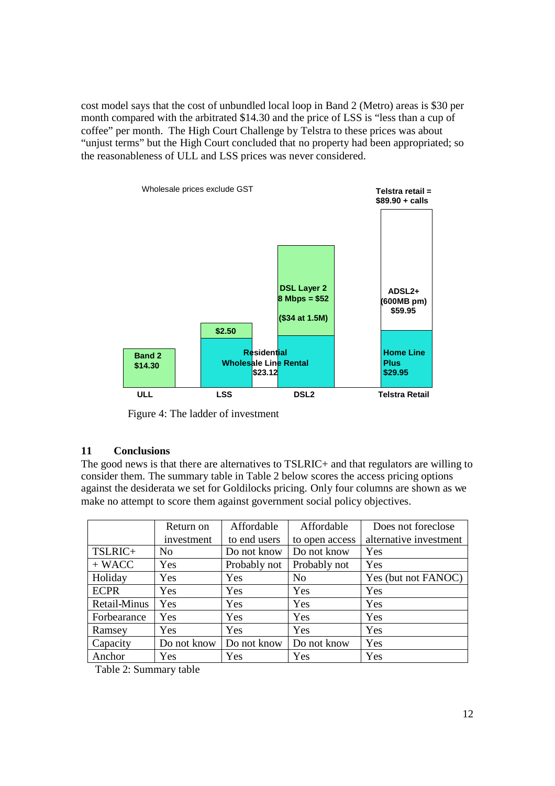cost model says that the cost of unbundled local loop in Band 2 (Metro) areas is \$30 per month compared with the arbitrated \$14.30 and the price of LSS is "less than a cup of coffee" per month. The High Court Challenge by Telstra to these prices was about "unjust terms" but the High Court concluded that no property had been appropriated; so the reasonableness of ULL and LSS prices was never considered.



Figure 4: The ladder of investment

## **11 Conclusions**

The good news is that there are alternatives to TSLRIC+ and that regulators are willing to consider them. The summary table in Table 2 below scores the access pricing options against the desiderata we set for Goldilocks pricing. Only four columns are shown as we make no attempt to score them against government social policy objectives.

|              | Return on      | Affordable   | Affordable     | Does not foreclose     |
|--------------|----------------|--------------|----------------|------------------------|
|              | investment     | to end users | to open access | alternative investment |
| TSLRIC+      | N <sub>0</sub> | Do not know  | Do not know    | Yes                    |
| $+ WACC$     | Yes            | Probably not | Probably not   | Yes                    |
| Holiday      | Yes            | Yes          | N <sub>o</sub> | Yes (but not FANOC)    |
| <b>ECPR</b>  | Yes            | Yes          | Yes            | Yes                    |
| Retail-Minus | Yes            | Yes          | Yes            | Yes                    |
| Forbearance  | Yes            | Yes          | Yes            | Yes                    |
| Ramsey       | Yes            | Yes          | Yes            | Yes                    |
| Capacity     | Do not know    | Do not know  | Do not know    | Yes                    |
| Anchor       | Yes            | Yes          | Yes            | Yes                    |

Table 2: Summary table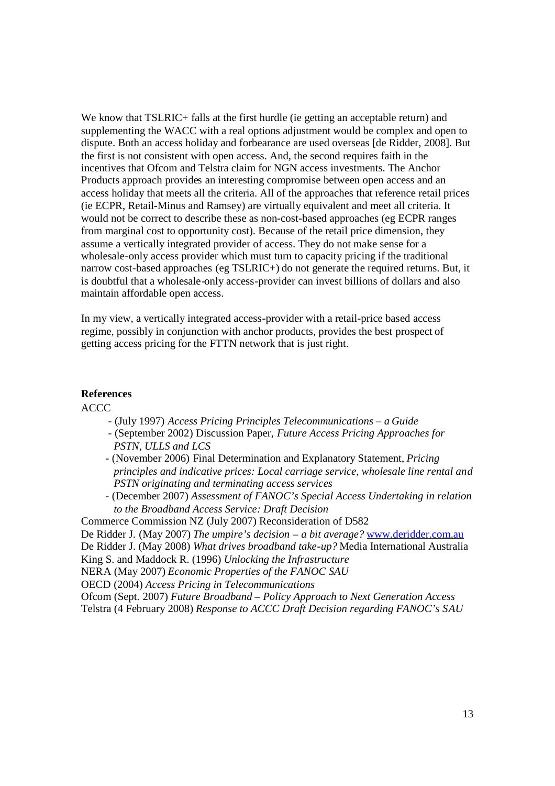We know that TSLRIC+ falls at the first hurdle (ie getting an acceptable return) and supplementing the WACC with a real options adjustment would be complex and open to dispute. Both an access holiday and forbearance are used overseas [de Ridder, 2008]. But the first is not consistent with open access. And, the second requires faith in the incentives that Ofcom and Telstra claim for NGN access investments. The Anchor Products approach provides an interesting compromise between open access and an access holiday that meets all the criteria. All of the approaches that reference retail prices (ie ECPR, Retail-Minus and Ramsey) are virtually equivalent and meet all criteria. It would not be correct to describe these as non-cost-based approaches (eg ECPR ranges from marginal cost to opportunity cost). Because of the retail price dimension, they assume a vertically integrated provider of access. They do not make sense for a wholesale-only access provider which must turn to capacity pricing if the traditional narrow cost-based approaches (eg TSLRIC+) do not generate the required returns. But, it is doubtful that a wholesale-only access-provider can invest billions of dollars and also maintain affordable open access.

In my view, a vertically integrated access-provider with a retail-price based access regime, possibly in conjunction with anchor products, provides the best prospect of getting access pricing for the FTTN network that is just right.

#### **References**

ACCC

- (July 1997) *Access Pricing Principles Telecommunications – a Guide*
- (September 2002) Discussion Paper, *Future Access Pricing Approaches for PSTN, ULLS and LCS*
- (November 2006) Final Determination and Explanatory Statement, *Pricing principles and indicative prices: Local carriage service, wholesale line rental and PSTN originating and terminating access services*
- (December 2007) *Assessment of FANOC's Special Access Undertaking in relation to the Broadband Access Service: Draft Decision*
- Commerce Commission NZ (July 2007) Reconsideration of D582

De Ridder J. (May 2007) *The umpire's decision – a bit average?* www.deridder.com.au

De Ridder J. (May 2008) *What drives broadband take-up?* Media International Australia King S. and Maddock R. (1996) *Unlocking the Infrastructure*

NERA (May 2007) *Economic Properties of the FANOC SAU*

OECD (2004) *Access Pricing in Telecommunications*

Ofcom (Sept. 2007) *Future Broadband – Policy Approach to Next Generation Access* Telstra (4 February 2008) *Response to ACCC Draft Decision regarding FANOC's SAU*